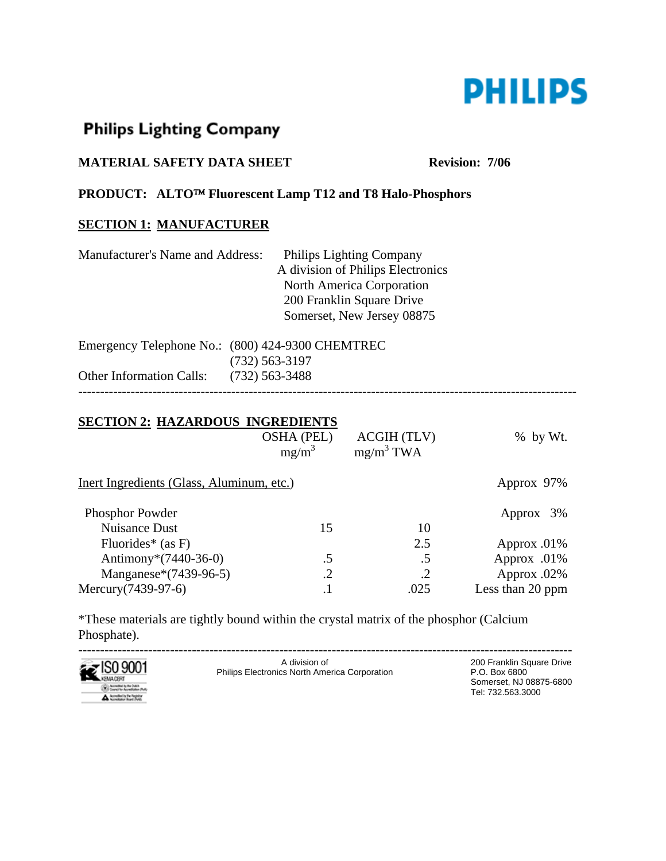

# **Philips Lighting Company**

## **MATERIAL SAFETY DATA SHEET** Revision: 7/06

#### **PRODUCT: ALTO**™ **Fluorescent Lamp T12 and T8 Halo-Phosphors**

## **SECTION 1: MANUFACTURER**

| Manufacturer's Name and Address: | <b>Philips Lighting Company</b>   |  |
|----------------------------------|-----------------------------------|--|
|                                  | A division of Philips Electronics |  |
|                                  | North America Corporation         |  |
|                                  | 200 Franklin Square Drive         |  |
|                                  | Somerset, New Jersey 08875        |  |
|                                  |                                   |  |

|                                         | Emergency Telephone No.: (800) 424-9300 CHEMTREC |
|-----------------------------------------|--------------------------------------------------|
|                                         | $(732)$ 563-3197                                 |
| Other Information Calls: (732) 563-3488 |                                                  |
|                                         |                                                  |

#### **SECTION 2: HAZARDOUS INGREDIENTS**

|                                           | <b>OSHA (PEL)</b><br>$mg/m^3$ | <b>ACGIH (TLV)</b><br>$mg/m^3$ TWA | $%$ by Wt.       |
|-------------------------------------------|-------------------------------|------------------------------------|------------------|
| Inert Ingredients (Glass, Aluminum, etc.) |                               |                                    | Approx 97%       |
| <b>Phosphor Powder</b>                    |                               |                                    | Approx 3%        |
| <b>Nuisance Dust</b>                      | 15                            | 10                                 |                  |
| Fluorides* $(as F)$                       |                               | 2.5                                | Approx $.01\%$   |
| Antimony* $(7440-36-0)$                   | .5                            | .5                                 | Approx .01%      |
| Manganese*(7439-96-5)                     | .2                            |                                    | Approx .02%      |
| Mercury (7439-97-6)                       | $\cdot$                       | .025                               | Less than 20 ppm |

\*These materials are tightly bound within the crystal matrix of the phosphor (Calcium Phosphate).



----------------------------------------------------------------------------------------------------------------- Philips Electronics North America Corporation

200 Franklin Square Drive<br>P.O. Box 6800 Somerset, NJ 08875-6800 Tel: 732.563.3000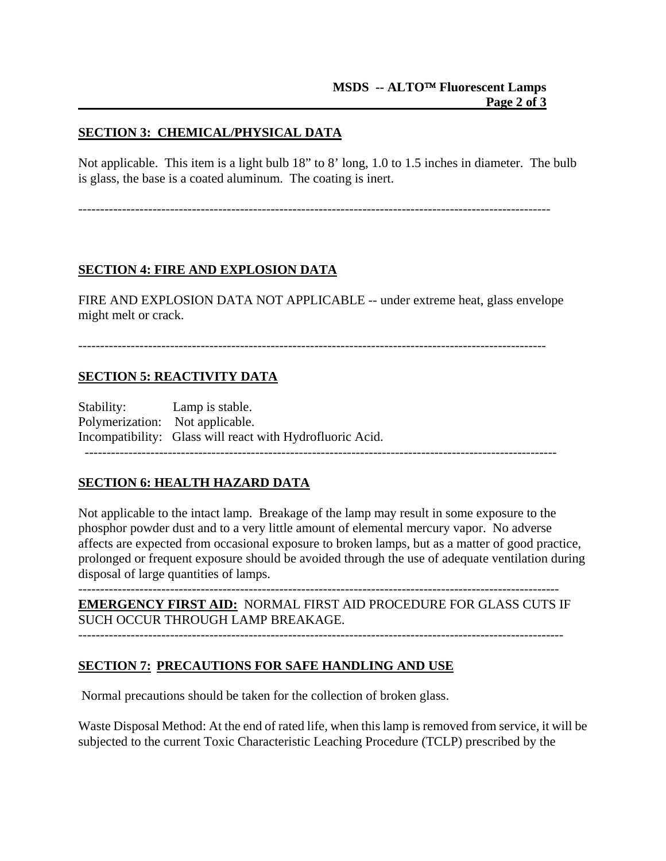## **SECTION 3: CHEMICAL/PHYSICAL DATA**

Not applicable. This item is a light bulb 18" to 8' long, 1.0 to 1.5 inches in diameter. The bulb is glass, the base is a coated aluminum. The coating is inert.

------------------------------------------------------------------------------------------------------------

## **SECTION 4: FIRE AND EXPLOSION DATA**

FIRE AND EXPLOSION DATA NOT APPLICABLE -- under extreme heat, glass envelope might melt or crack.

#### **SECTION 5: REACTIVITY DATA**

 Polymerization: Not applicable. Stability: Lamp is stable. Incompatibility: Glass will react with Hydrofluoric Acid. ------------------------------------------------------------------------------------------------------------

#### **SECTION 6: HEALTH HAZARD DATA**

Not applicable to the intact lamp. Breakage of the lamp may result in some exposure to the phosphor powder dust and to a very little amount of elemental mercury vapor. No adverse affects are expected from occasional exposure to broken lamps, but as a matter of good practice, prolonged or frequent exposure should be avoided through the use of adequate ventilation during disposal of large quantities of lamps.

-------------------------------------------------------------------------------------------------------------- **EMERGENCY FIRST AID:** NORMAL FIRST AID PROCEDURE FOR GLASS CUTS IF SUCH OCCUR THROUGH LAMP BREAKAGE.

---------------------------------------------------------------------------------------------------------------

#### **SECTION 7: PRECAUTIONS FOR SAFE HANDLING AND USE**

Normal precautions should be taken for the collection of broken glass.

Waste Disposal Method: At the end of rated life, when this lamp is removed from service, it will be subjected to the current Toxic Characteristic Leaching Procedure (TCLP) prescribed by the